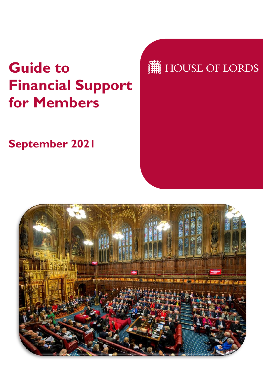# **Guide to Financial Support for Members**

**September 2021**



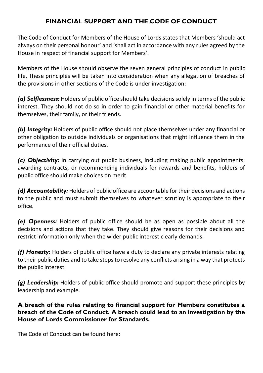## **FINANCIAL SUPPORT AND THE CODE OF CONDUCT**

The Code of Conduct for Members of the House of Lords states that Members 'should act always on their personal honour' and 'shall act in accordance with any rules agreed by the House in respect of financial support for Members'.

Members of the House should observe the seven general principles of conduct in public life. These principles will be taken into consideration when any allegation of breaches of the provisions in other sections of the Code is under investigation:

*(a) Selflessness:* Holders of public office should take decisions solely in terms of the public interest. They should not do so in order to gain financial or other material benefits for themselves, their family, or their friends.

*(b) Integrity:* Holders of public office should not place themselves under any financial or other obligation to outside individuals or organisations that might influence them in the performance of their official duties.

*(c) Objectivity:* In carrying out public business, including making public appointments, awarding contracts, or recommending individuals for rewards and benefits, holders of public office should make choices on merit.

*(d) Accountability:* Holders of public office are accountable for their decisions and actions to the public and must submit themselves to whatever scrutiny is appropriate to their office.

*(e) Openness:* Holders of public office should be as open as possible about all the decisions and actions that they take. They should give reasons for their decisions and restrict information only when the wider public interest clearly demands.

*(f) Honesty:* Holders of public office have a duty to declare any private interests relating to their public duties and to take steps to resolve any conflicts arising in a way that protects the public interest.

*(g) Leadership:* Holders of public office should promote and support these principles by leadership and example.

#### **A breach of the rules relating to financial support for Members constitutes a breach of the Code of Conduct. A breach could lead to an investigation by the House of Lords Commissioner for Standards.**

The Code of Conduct can be found here: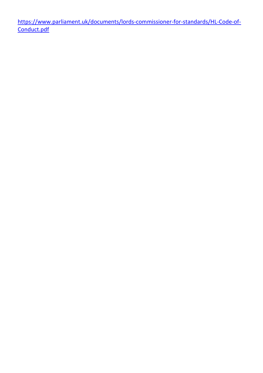[https://www.parliament.uk/documents/lords-commissioner-for-standards/HL-Code-of-](https://www.parliament.uk/documents/lords-commissioner-for-standards/HL-Code-of-Conduct.pdf)[Conduct.pdf](https://www.parliament.uk/documents/lords-commissioner-for-standards/HL-Code-of-Conduct.pdf)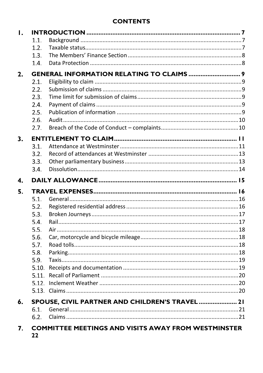# **CONTENTS**

| Ι. |       |                                                  |  |
|----|-------|--------------------------------------------------|--|
|    | 1.1.  |                                                  |  |
|    | 1.2.  |                                                  |  |
|    | 1.3.  |                                                  |  |
|    | 1.4.  |                                                  |  |
| 2. |       | <b>GENERAL INFORMATION RELATING TO CLAIMS  9</b> |  |
|    | 2.1.  |                                                  |  |
|    | 2.2.  |                                                  |  |
|    | 2.3.  |                                                  |  |
|    | 2.4.  |                                                  |  |
|    | 2.5.  |                                                  |  |
|    | 2.6.  |                                                  |  |
|    | 2.7.  |                                                  |  |
| 3. |       |                                                  |  |
|    | 3.1.  |                                                  |  |
|    | 3.2.  |                                                  |  |
|    | 3.3.  |                                                  |  |
|    | 3.4.  |                                                  |  |
| 4. |       |                                                  |  |
|    |       |                                                  |  |
| 5. |       |                                                  |  |
|    | 5.1.  |                                                  |  |
|    | 5.2.  |                                                  |  |
|    | 5.3.  |                                                  |  |
|    | 5.4.  |                                                  |  |
|    | 5.5.  |                                                  |  |
|    | 5.6.  |                                                  |  |
|    | 5.7.  |                                                  |  |
|    | 5.8.  |                                                  |  |
|    | 5.9.  |                                                  |  |
|    | 5.10. |                                                  |  |
|    | 5.11. |                                                  |  |
|    | 5.12. |                                                  |  |
|    |       |                                                  |  |
| 6. |       | SPOUSE, CIVIL PARTNER AND CHILDREN'S TRAVEL 21   |  |
|    | 6.1.  |                                                  |  |
|    | 6.2.  |                                                  |  |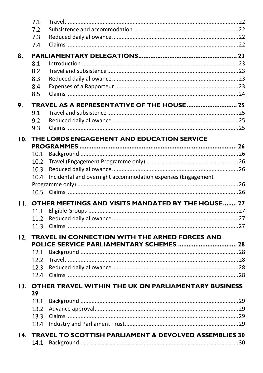|     | 7.1. |                                                                   |  |
|-----|------|-------------------------------------------------------------------|--|
|     | 7.2. |                                                                   |  |
|     | 7.3. |                                                                   |  |
|     | 7.4. |                                                                   |  |
| 8.  |      |                                                                   |  |
|     | 8.1. |                                                                   |  |
|     | 8.2. |                                                                   |  |
|     | 8.3. |                                                                   |  |
|     | 8.4. |                                                                   |  |
|     | 8.5. |                                                                   |  |
| 9.  |      | TRAVEL AS A REPRESENTATIVE OF THE HOUSE  25                       |  |
|     | 9.1. |                                                                   |  |
|     | 9.2. |                                                                   |  |
|     | 9.3. |                                                                   |  |
| 10. |      | THE LORDS ENGAGEMENT AND EDUCATION SERVICE                        |  |
|     |      |                                                                   |  |
|     |      |                                                                   |  |
|     |      |                                                                   |  |
|     |      |                                                                   |  |
|     |      | 10.4. Incidental and overnight accommodation expenses (Engagement |  |
|     |      |                                                                   |  |
|     |      |                                                                   |  |
| 11. |      | <b>OTHER MEETINGS AND VISITS MANDATED BY THE HOUSE 27</b>         |  |
|     |      |                                                                   |  |
|     |      |                                                                   |  |
|     |      |                                                                   |  |
| 12. |      | TRAVEL IN CONNECTION WITH THE ARMED FORCES AND                    |  |
|     |      |                                                                   |  |
|     |      |                                                                   |  |
|     |      |                                                                   |  |
|     |      |                                                                   |  |
|     |      |                                                                   |  |
| 13. |      | OTHER TRAVEL WITHIN THE UK ON PARLIAMENTARY BUSINESS              |  |
|     | 29   |                                                                   |  |
|     |      |                                                                   |  |
|     |      |                                                                   |  |
|     |      |                                                                   |  |
|     |      |                                                                   |  |
| 14. |      | <b>TRAVEL TO SCOTTISH PARLIAMENT &amp; DEVOLVED ASSEMBLIES 30</b> |  |
|     |      |                                                                   |  |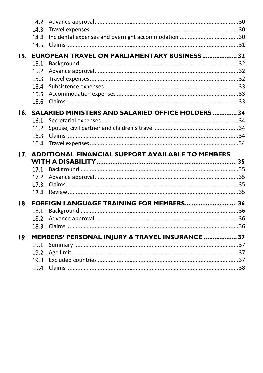| 15. | <b>EUROPEAN TRAVEL ON PARLIAMENTARY BUSINESS 32</b>       |  |
|-----|-----------------------------------------------------------|--|
|     |                                                           |  |
|     |                                                           |  |
|     |                                                           |  |
|     |                                                           |  |
|     |                                                           |  |
|     |                                                           |  |
| 16. | <b>SALARIED MINISTERS AND SALARIED OFFICE HOLDERS  34</b> |  |
|     |                                                           |  |
|     |                                                           |  |
|     |                                                           |  |
|     |                                                           |  |
|     | 17. ADDITIONAL FINANCIAL SUPPORT AVAILABLE TO MEMBERS     |  |
|     |                                                           |  |
|     |                                                           |  |
|     |                                                           |  |
|     |                                                           |  |
|     |                                                           |  |
| 18. | FOREIGN LANGUAGE TRAINING FOR MEMBERS 36                  |  |
|     |                                                           |  |
|     |                                                           |  |
|     |                                                           |  |
| 19. | MEMBERS' PERSONAL INJURY & TRAVEL INSURANCE  37           |  |
|     |                                                           |  |
|     |                                                           |  |
|     |                                                           |  |
|     |                                                           |  |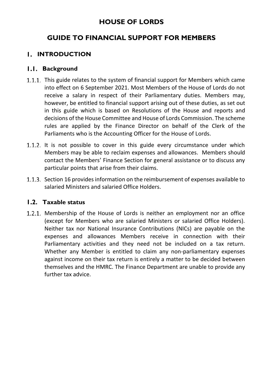# **HOUSE OF LORDS**

# **GUIDE TO FINANCIAL SUPPORT FOR MEMBERS**

# <span id="page-6-0"></span>**I. INTRODUCTION**

#### <span id="page-6-1"></span>**Background**

- 1.1.1. This guide relates to the system of financial support for Members which came into effect on 6 September 2021. Most Members of the House of Lords do not receive a salary in respect of their Parliamentary duties. Members may, however, be entitled to financial support arising out of these duties, as set out in this guide which is based on Resolutions of the House and reports and decisions of the House Committee and House of Lords Commission. The scheme rules are applied by the Finance Director on behalf of the Clerk of the Parliaments who is the Accounting Officer for the House of Lords.
- $1.1.2$ . It is not possible to cover in this guide every circumstance under which Members may be able to reclaim expenses and allowances. Members should contact the Members' Finance Section for general assistance or to discuss any particular points that arise from their claims.
- 1.1.3. Section 16 provides information on the reimbursement of expenses available to salaried Ministers and salaried Office Holders.

#### <span id="page-6-2"></span>**Taxable status**

1.2.1. Membership of the House of Lords is neither an employment nor an office (except for Members who are salaried Ministers or salaried Office Holders). Neither tax nor National Insurance Contributions (NICs) are payable on the expenses and allowances Members receive in connection with their Parliamentary activities and they need not be included on a tax return. Whether any Member is entitled to claim any non-parliamentary expenses against income on their tax return is entirely a matter to be decided between themselves and the HMRC. The Finance Department are unable to provide any further tax advice.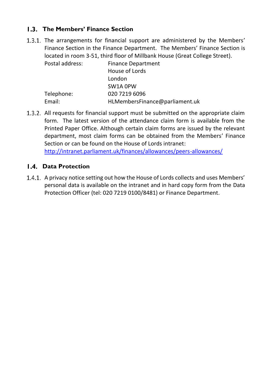## <span id="page-7-0"></span>**The Members' Finance Section**

1.3.1. The arrangements for financial support are administered by the Members' Finance Section in the Finance Department. The Members' Finance Section is located in room 3-51, third floor of Millbank House (Great College Street). Postal address: Finance Department

|            | $1.118110C$ Department         |
|------------|--------------------------------|
|            | House of Lords                 |
|            | London                         |
|            | SW1A OPW                       |
| Telephone: | 020 7219 6096                  |
| Email:     | HLMembersFinance@parliament.uk |
|            |                                |

All requests for financial support must be submitted on the appropriate claim form. The latest version of the attendance claim form is available from the Printed Paper Office. Although certain claim forms are issued by the relevant department, most claim forms can be obtained from the Members' Finance Section or can be found on the House of Lords intranet:

<http://intranet.parliament.uk/finances/allowances/peers-allowances/>

#### <span id="page-7-1"></span>**Data Protection**

1.4.1. A privacy notice setting out how the House of Lords collects and uses Members' personal data is available on the intranet and in hard copy form from the Data Protection Officer (tel: 020 7219 0100/8481) or Finance Department.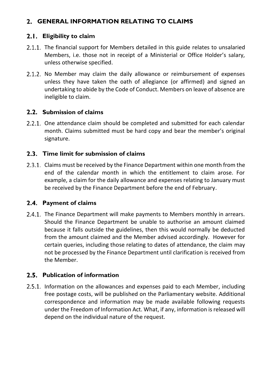# <span id="page-8-0"></span>**2. GENERAL INFORMATION RELATING TO CLAIMS**

#### <span id="page-8-1"></span>**Eligibility to claim**

- 2.1.1. The financial support for Members detailed in this guide relates to unsalaried Members, i.e. those not in receipt of a Ministerial or Office Holder's salary, unless otherwise specified.
- 2.1.2. No Member may claim the daily allowance or reimbursement of expenses unless they have taken the oath of allegiance (or affirmed) and signed an undertaking to abide by the Code of Conduct. Members on leave of absence are ineligible to claim.

#### <span id="page-8-2"></span>**Submission of claims**

2.2.1. One attendance claim should be completed and submitted for each calendar month. Claims submitted must be hard copy and bear the member's original signature.

#### <span id="page-8-3"></span>**Time limit for submission of claims**

2.3.1. Claims must be received by the Finance Department within one month from the end of the calendar month in which the entitlement to claim arose. For example, a claim for the daily allowance and expenses relating to January must be received by the Finance Department before the end of February.

#### <span id="page-8-4"></span>**Payment of claims**

2.4.1. The Finance Department will make payments to Members monthly in arrears. Should the Finance Department be unable to authorise an amount claimed because it falls outside the guidelines, then this would normally be deducted from the amount claimed and the Member advised accordingly. However for certain queries, including those relating to dates of attendance, the claim may not be processed by the Finance Department until clarification is received from the Member.

#### <span id="page-8-5"></span>**Publication of information**

2.5.1. Information on the allowances and expenses paid to each Member, including free postage costs, will be published on the Parliamentary website. Additional correspondence and information may be made available following requests under the Freedom of Information Act. What, if any, information is released will depend on the individual nature of the request.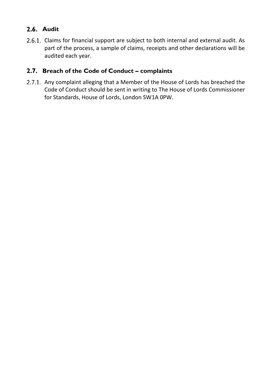## <span id="page-9-0"></span>**Audit**

2.6.1. Claims for financial support are subject to both internal and external audit. As part of the process, a sample of claims, receipts and other declarations will be audited each year.

## <span id="page-9-1"></span>**Breach of the Code of Conduct – complaints**

2.7.1. Any complaint alleging that a Member of the House of Lords has breached the Code of Conduct should be sent in writing to The House of Lords Commissioner for Standards, House of Lords, London SW1A 0PW.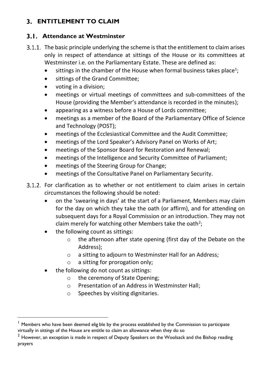# <span id="page-10-0"></span>**ENTITLEMENT TO CLAIM**

# <span id="page-10-1"></span>**Attendance at Westminster**

- 3.1.1. The basic principle underlying the scheme is that the entitlement to claim arises only in respect of attendance at sittings of the House or its committees at Westminster i.e. on the Parliamentary Estate. These are defined as:
	- sittings in the chamber of the House when formal business takes place<sup>1</sup>;
	- sittings of the Grand Committee;
	- voting in a division;
	- meetings or virtual meetings of committees and sub-committees of the House (providing the Member's attendance is recorded in the minutes);
	- appearing as a witness before a House of Lords committee;
	- meetings as a member of the Board of the Parliamentary Office of Science and Technology (POST);
	- meetings of the Ecclesiastical Committee and the Audit Committee;
	- meetings of the Lord Speaker's Advisory Panel on Works of Art;
	- meetings of the Sponsor Board for Restoration and Renewal;
	- meetings of the Intelligence and Security Committee of Parliament;
	- meetings of the Steering Group for Change;
	- meetings of the Consultative Panel on Parliamentary Security.
- For clarification as to whether or not entitlement to claim arises in certain circumstances the following should be noted:
	- on the 'swearing in days' at the start of a Parliament, Members may claim for the day on which they take the oath (or affirm), and for attending on subsequent days for a Royal Commission or an introduction. They may not claim merely for watching other Members take the oath<sup>2</sup>;
	- the following count as sittings:
		- o the afternoon after state opening (first day of the Debate on the Address);
		- o a sitting to adjourn to Westminster Hall for an Address;
		- o a sitting for prorogation only;
	- the following do not count as sittings:
		- o the ceremony of State Opening;
		- o Presentation of an Address in Westminster Hall;
		- o Speeches by visiting dignitaries.

<sup>&</sup>lt;sup>1</sup> Members who have been deemed elig ble by the process established by the Commission to participate virtually in sittings of the House are entitle to claim an allowance when they do so

 $2$  However, an exception is made in respect of Deputy Speakers on the Woolsack and the Bishop reading prayers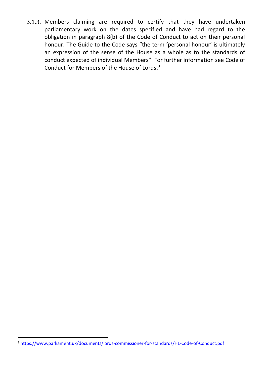$3.1.3$ . Members claiming are required to certify that they have undertaken parliamentary work on the dates specified and have had regard to the obligation in paragraph 8(b) of the Code of Conduct to act on their personal honour. The Guide to the Code says "the term 'personal honour' is ultimately an expression of the sense of the House as a whole as to the standards of conduct expected of individual Members". For further information see Code of Conduct for Members of the House of Lords. 3

<sup>3</sup> <https://www.parliament.uk/documents/lords-commissioner-for-standards/HL-Code-of-Conduct.pdf>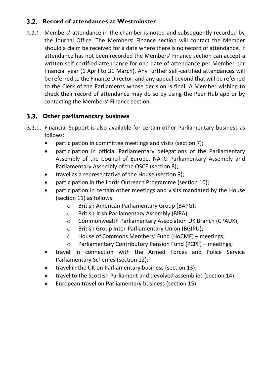## <span id="page-12-0"></span>**Record of attendances at Westminster**

3.2.1. Members' attendance in the chamber is noted and subsequently recorded by the Journal Office. The Members' Finance section will contact the Member should a claim be received for a date where there is no record of attendance. If attendance has not been recorded the Members' Finance section can accept a written self-certified attendance for one date of attendance per Member per financial year (1 April to 31 March). Any further self-certified attendances will be referred to the Finance Director, and any appeal beyond that will be referred to the Clerk of the Parliaments whose decision is final. A Member wishing to check their record of attendance may do so by using the Peer Hub app or by contacting the Members' Finance section.

## <span id="page-12-1"></span>**Other parliamentary business**

- 3.3.1. Financial Support is also available for certain other Parliamentary business as follows:
	- participation in committee meetings and visits (section 7);
	- participation in official Parliamentary delegations of the Parliamentary Assembly of the Council of Europe, NATO Parliamentary Assembly and Parliamentary Assembly of the OSCE (section 8);
	- travel as a representative of the House (section 9);
	- participation in the Lords Outreach Programme (section 10);
	- participation in certain other meetings and visits mandated by the House (section 11) as follows:
		- o British American Parliamentary Group (BAPG);
		- o British-Irish Parliamentary Assembly (BIPA);
		- o Commonwealth Parliamentary Association UK Branch (CPAUK);
		- o British Group Inter-Parliamentary Union (BGIPU);
		- o House of Commons Members' Fund (HoCMF) meetings;
		- o Parliamentary Contributory Pension Fund (PCPF) meetings;
	- travel in connection with the Armed Forces and Police Service Parliamentary Schemes (section 12);
	- travel in the UK on Parliamentary business (section 13);
	- travel to the Scottish Parliament and devolved assemblies (section 14);
	- European travel on Parliamentary business (section 15).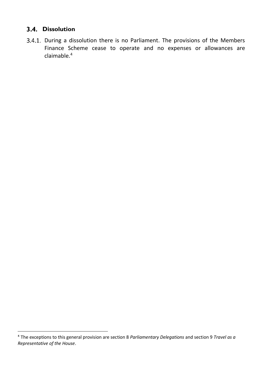## <span id="page-13-0"></span>3.4. Dissolution

3.4.1. During a dissolution there is no Parliament. The provisions of the Members Finance Scheme cease to operate and no expenses or allowances are claimable.<sup>4</sup>

<sup>4</sup> The exceptions to this general provision are section 8 *Parliamentary Delegations* and section 9 *Travel as a Representative of the House*.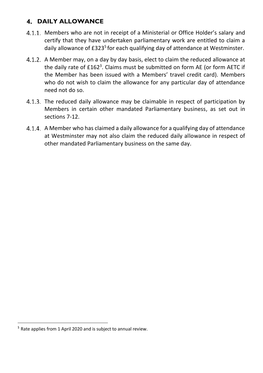## <span id="page-14-0"></span>**DAILY ALLOWANCE**

- 4.1.1. Members who are not in receipt of a Ministerial or Office Holder's salary and certify that they have undertaken parliamentary work are entitled to claim a daily allowance of £323<sup>5</sup> for each qualifying day of attendance at Westminster.
- 4.1.2. A Member may, on a day by day basis, elect to claim the reduced allowance at the daily rate of £162<sup>3</sup>. Claims must be submitted on form AE (or form AETC if the Member has been issued with a Members' travel credit card). Members who do not wish to claim the allowance for any particular day of attendance need not do so.
- 4.1.3. The reduced daily allowance may be claimable in respect of participation by Members in certain other mandated Parliamentary business, as set out in sections 7-12.
- A Member who has claimed a daily allowance for a qualifying day of attendance at Westminster may not also claim the reduced daily allowance in respect of other mandated Parliamentary business on the same day.

<sup>5</sup> Rate applies from 1 April 2020 and is subject to annual review.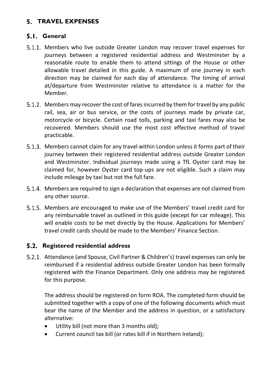## <span id="page-15-0"></span>**TRAVEL EXPENSES**

#### <span id="page-15-1"></span>**General**

- 5.1.1. Members who live outside Greater London may recover travel expenses for journeys between a registered residential address and Westminster by a reasonable route to enable them to attend sittings of the House or other allowable travel detailed in this guide. A maximum of one journey in each direction may be claimed for each day of attendance. The timing of arrival at/departure from Westminster relative to attendance is a matter for the Member.
- 5.1.2. Members may recover the cost of fares incurred by them for travel by any public rail, sea, air or bus service, or the costs of journeys made by private car, motorcycle or bicycle. Certain road tolls, parking and taxi fares may also be recovered. Members should use the most cost effective method of travel practicable.
- 5.1.3. Members cannot claim for any travel within London unless it forms part of their journey between their registered residential address outside Greater London and Westminster. Individual journeys made using a TfL Oyster card may be claimed for, however Oyster card top-ups are not eligible. Such a claim may include mileage by taxi but not the full fare.
- 5.1.4. Members are required to sign a declaration that expenses are not claimed from any other source.
- 5.1.5. Members are encouraged to make use of the Members' travel credit card for any reimbursable travel as outlined in this guide (except for car mileage). This will enable costs to be met directly by the House. Applications for Members' travel credit cards should be made to the Members' Finance Section.

#### <span id="page-15-2"></span>**Registered residential address**

Attendance (and Spouse, Civil Partner & Children's) travel expenses can only be reimbursed if a residential address outside Greater London has been formally registered with the Finance Department. Only one address may be registered for this purpose.

The address should be registered on form ROA. The completed form should be submitted together with a copy of one of the following documents which must bear the name of the Member and the address in question, or a satisfactory alternative:

- Utility bill (not more than 3 months old);
- Current council tax bill (or rates bill if in Northern Ireland);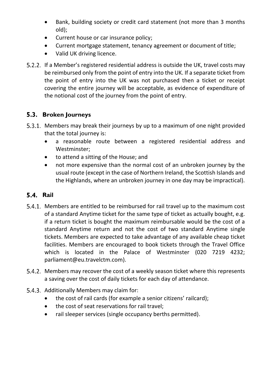- Bank, building society or credit card statement (not more than 3 months old);
- Current house or car insurance policy;
- Current mortgage statement, tenancy agreement or document of title;
- Valid UK driving licence.
- If a Member's registered residential address is outside the UK, travel costs may be reimbursed only from the point of entry into the UK. If a separate ticket from the point of entry into the UK was not purchased then a ticket or receipt covering the entire journey will be acceptable, as evidence of expenditure of the notional cost of the journey from the point of entry.

## <span id="page-16-0"></span>**Broken Journeys**

- 5.3.1. Members may break their journeys by up to a maximum of one night provided that the total journey is:
	- a reasonable route between a registered residential address and Westminster;
	- to attend a sitting of the House; and
	- not more expensive than the normal cost of an unbroken journey by the usual route (except in the case of Northern Ireland, the Scottish Islands and the Highlands, where an unbroken journey in one day may be impractical).

## <span id="page-16-1"></span>**5.4. Rail**

- 5.4.1. Members are entitled to be reimbursed for rail travel up to the maximum cost of a standard Anytime ticket for the same type of ticket as actually bought, e.g. if a return ticket is bought the maximum reimbursable would be the cost of a standard Anytime return and not the cost of two standard Anytime single tickets. Members are expected to take advantage of any available cheap ticket facilities. Members are encouraged to book tickets through the Travel Office which is located in the Palace of Westminster (020 7219 4232; parliament@eu.travelctm.com).
- 5.4.2. Members may recover the cost of a weekly season ticket where this represents a saving over the cost of daily tickets for each day of attendance.
- 5.4.3. Additionally Members may claim for:
	- the cost of rail cards (for example a senior citizens' railcard);
	- the cost of seat reservations for rail travel;
	- rail sleeper services (single occupancy berths permitted).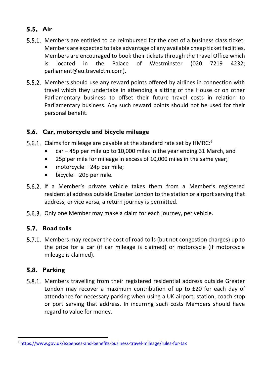## <span id="page-17-0"></span>5.5. Air

- 5.5.1. Members are entitled to be reimbursed for the cost of a business class ticket. Members are expected to take advantage of any available cheap ticket facilities. Members are encouraged to book their tickets through the Travel Office which is located in the Palace of Westminster (020 7219 4232; parliament@eu.travelctm.com).
- 5.5.2. Members should use any reward points offered by airlines in connection with travel which they undertake in attending a sitting of the House or on other Parliamentary business to offset their future travel costs in relation to Parliamentary business. Any such reward points should not be used for their personal benefit.

## <span id="page-17-1"></span>**Car, motorcycle and bicycle mileage**

- 5.6.1. Claims for mileage are payable at the standard rate set by  $HMRC:6$ 
	- car 45p per mile up to 10,000 miles in the year ending 31 March, and
	- 25p per mile for mileage in excess of 10,000 miles in the same year;
	- motorcycle 24p per mile;
	- $\bullet$  bicycle 20p per mile.
- 5.6.2. If a Member's private vehicle takes them from a Member's registered residential address outside Greater London to the station or airport serving that address, or vice versa, a return journey is permitted.
- 5.6.3. Only one Member may make a claim for each journey, per vehicle.

## <span id="page-17-2"></span>5.7. Road tolls

5.7.1. Members may recover the cost of road tolls (but not congestion charges) up to the price for a car (if car mileage is claimed) or motorcycle (if motorcycle mileage is claimed).

## <span id="page-17-3"></span>**Parking**

5.8.1. Members travelling from their registered residential address outside Greater London may recover a maximum contribution of up to £20 for each day of attendance for necessary parking when using a UK airport, station, coach stop or port serving that address. In incurring such costs Members should have regard to value for money.

<sup>6</sup> <https://www.gov.uk/expenses-and-benefits-business-travel-mileage/rules-for-tax>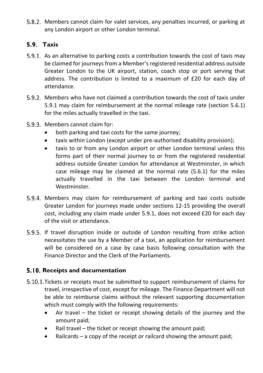5.8.2. Members cannot claim for valet services, any penalties incurred, or parking at any London airport or other London terminal.

## <span id="page-18-0"></span>**Taxis**

- 5.9.1. As an alternative to parking costs a contribution towards the cost of taxis may be claimed for journeys from a Member's registered residential address outside Greater London to the UK airport, station, coach stop or port serving that address. The contribution is limited to a maximum of £20 for each day of attendance.
- 5.9.2. Members who have not claimed a contribution towards the cost of taxis under 5.9.1 may claim for reimbursement at the normal mileage rate (section 5.6.1) for the miles actually travelled in the taxi.
- 5.9.3. Members cannot claim for:
	- both parking and taxi costs for the same journey;
	- taxis within London (except under pre-authorised disability provision);
	- taxis to or from any London airport or other London terminal unless this forms part of their normal journey to or from the registered residential address outside Greater London for attendance at Westminster, in which case mileage may be claimed at the normal rate (5.6.1) for the miles actually travelled in the taxi between the London terminal and Westminster.
- 5.9.4. Members may claim for reimbursement of parking and taxi costs outside Greater London for journeys made under sections 12-15 providing the overall cost, including any claim made under 5.9.1, does not exceed £20 for each day of the visit or attendance.
- 5.9.5. If travel disruption inside or outside of London resulting from strike action necessitates the use by a Member of a taxi, an application for reimbursement will be considered on a case by case basis following consultation with the Finance Director and the Clerk of the Parliaments.

## <span id="page-18-1"></span>**Receipts and documentation**

- 5.10.1. Tickets or receipts must be submitted to support reimbursement of claims for travel, irrespective of cost, except for mileage. The Finance Department will not be able to reimburse claims without the relevant supporting documentation which must comply with the following requirements:
	- Air travel the ticket or receipt showing details of the journey and the amount paid;
	- Rail travel the ticket or receipt showing the amount paid;
	- Railcards a copy of the receipt or railcard showing the amount paid;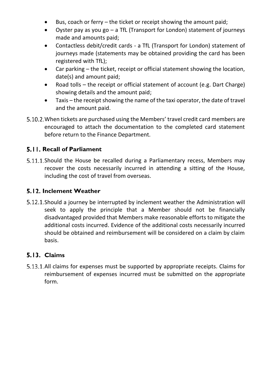- Bus, coach or ferry the ticket or receipt showing the amount paid;
- Oyster pay as you go a TfL (Transport for London) statement of journeys made and amounts paid;
- Contactless debit/credit cards a TfL (Transport for London) statement of journeys made (statements may be obtained providing the card has been registered with TfL);
- Car parking the ticket, receipt or official statement showing the location, date(s) and amount paid;
- Road tolls the receipt or official statement of account (e.g. Dart Charge) showing details and the amount paid;
- Taxis the receipt showing the name of the taxi operator, the date of travel and the amount paid.
- 5.10.2. When tickets are purchased using the Members' travel credit card members are encouraged to attach the documentation to the completed card statement before return to the Finance Department.

# <span id="page-19-0"></span>**5.11. Recall of Parliament**

5.11.1. Should the House be recalled during a Parliamentary recess, Members may recover the costs necessarily incurred in attending a sitting of the House, including the cost of travel from overseas.

#### <span id="page-19-1"></span>**Inclement Weather**

5.12.1. Should a journey be interrupted by inclement weather the Administration will seek to apply the principle that a Member should not be financially disadvantaged provided that Members make reasonable efforts to mitigate the additional costs incurred. Evidence of the additional costs necessarily incurred should be obtained and reimbursement will be considered on a claim by claim basis.

## <span id="page-19-2"></span>**Claims**

5.13.1. All claims for expenses must be supported by appropriate receipts. Claims for reimbursement of expenses incurred must be submitted on the appropriate form.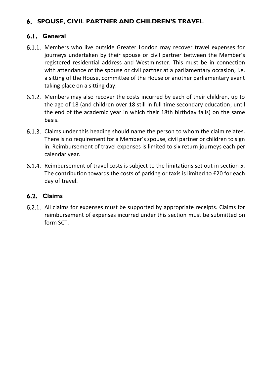## <span id="page-20-0"></span>**SPOUSE, CIVIL PARTNER AND CHILDREN'S TRAVEL**

#### <span id="page-20-1"></span>**General**

- 6.1.1. Members who live outside Greater London may recover travel expenses for journeys undertaken by their spouse or civil partner between the Member's registered residential address and Westminster. This must be in connection with attendance of the spouse or civil partner at a parliamentary occasion, i.e. a sitting of the House, committee of the House or another parliamentary event taking place on a sitting day.
- 6.1.2. Members may also recover the costs incurred by each of their children, up to the age of 18 (and children over 18 still in full time secondary education, until the end of the academic year in which their 18th birthday falls) on the same basis.
- 6.1.3. Claims under this heading should name the person to whom the claim relates. There is no requirement for a Member's spouse, civil partner or children to sign in. Reimbursement of travel expenses is limited to six return journeys each per calendar year.
- 6.1.4. Reimbursement of travel costs is subject to the limitations set out in section 5. The contribution towards the costs of parking or taxis is limited to £20 for each day of travel.

#### <span id="page-20-2"></span>**Claims**

All claims for expenses must be supported by appropriate receipts. Claims for reimbursement of expenses incurred under this section must be submitted on form SCT.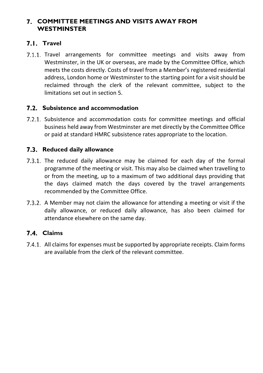#### <span id="page-21-0"></span>**COMMITTEE MEETINGS AND VISITS AWAY FROM WESTMINSTER**

#### <span id="page-21-1"></span>**Travel**

7.1.1. Travel arrangements for committee meetings and visits away from Westminster, in the UK or overseas, are made by the Committee Office, which meets the costs directly. Costs of travel from a Member's registered residential address, London home or Westminster to the starting point for a visit should be reclaimed through the clerk of the relevant committee, subject to the limitations set out in section 5.

#### <span id="page-21-2"></span>**Subsistence and accommodation**

7.2.1. Subsistence and accommodation costs for committee meetings and official business held away from Westminster are met directly by the Committee Office or paid at standard HMRC subsistence rates appropriate to the location.

#### <span id="page-21-3"></span>**Reduced daily allowance**

- $7.3.1$ . The reduced daily allowance may be claimed for each day of the formal programme of the meeting or visit. This may also be claimed when travelling to or from the meeting, up to a maximum of two additional days providing that the days claimed match the days covered by the travel arrangements recommended by the Committee Office.
- 7.3.2. A Member may not claim the allowance for attending a meeting or visit if the daily allowance, or reduced daily allowance, has also been claimed for attendance elsewhere on the same day.

#### <span id="page-21-4"></span>**Claims**

All claims for expenses must be supported by appropriate receipts. Claim forms are available from the clerk of the relevant committee.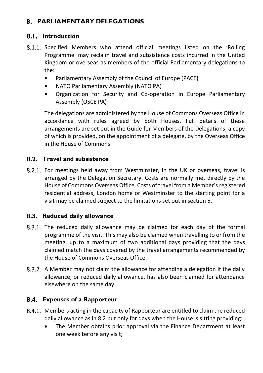# <span id="page-22-0"></span>**PARLIAMENTARY DELEGATIONS**

#### <span id="page-22-1"></span>**Introduction**

- 8.1.1. Specified Members who attend official meetings listed on the 'Rolling Programme' may reclaim travel and subsistence costs incurred in the United Kingdom or overseas as members of the official Parliamentary delegations to the:
	- Parliamentary Assembly of the Council of Europe (PACE)
	- NATO Parliamentary Assembly (NATO PA)
	- Organization for Security and Co-operation in Europe Parliamentary Assembly (OSCE PA)

The delegations are administered by the House of Commons Overseas Office in accordance with rules agreed by both Houses. Full details of these arrangements are set out in the Guide for Members of the Delegations, a copy of which is provided, on the appointment of a delegate, by the Overseas Office in the House of Commons.

## <span id="page-22-2"></span>**Travel and subsistence**

8.2.1. For meetings held away from Westminster, in the UK or overseas, travel is arranged by the Delegation Secretary. Costs are normally met directly by the House of Commons Overseas Office. Costs of travel from a Member's registered residential address, London home or Westminster to the starting point for a visit may be claimed subject to the limitations set out in section 5.

#### <span id="page-22-3"></span>**Reduced daily allowance**

- 8.3.1. The reduced daily allowance may be claimed for each day of the formal programme of the visit. This may also be claimed when travelling to or from the meeting, up to a maximum of two additional days providing that the days claimed match the days covered by the travel arrangements recommended by the House of Commons Overseas Office.
- A Member may not claim the allowance for attending a delegation if the daily allowance, or reduced daily allowance, has also been claimed for attendance elsewhere on the same day.

#### <span id="page-22-4"></span>**Expenses of a Rapporteur**

- 8.4.1. Members acting in the capacity of Rapporteur are entitled to claim the reduced daily allowance as in 8.2 but only for days when the House is sitting providing:
	- The Member obtains prior approval via the Finance Department at least one week before any visit;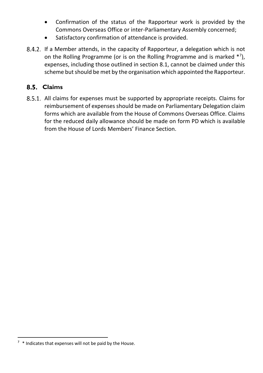- Confirmation of the status of the Rapporteur work is provided by the Commons Overseas Office or inter-Parliamentary Assembly concerned;
- Satisfactory confirmation of attendance is provided.
- 8.4.2. If a Member attends, in the capacity of Rapporteur, a delegation which is not on the Rolling Programme (or is on the Rolling Programme and is marked \*<sup>7</sup> ), expenses, including those outlined in section 8.1, cannot be claimed under this scheme but should be met by the organisation which appointed the Rapporteur.

#### <span id="page-23-0"></span>**Claims**

All claims for expenses must be supported by appropriate receipts. Claims for reimbursement of expenses should be made on Parliamentary Delegation claim forms which are available from the House of Commons Overseas Office. Claims for the reduced daily allowance should be made on form PD which is available from the House of Lords Members' Finance Section.

 $7$   $*$  Indicates that expenses will not be paid by the House.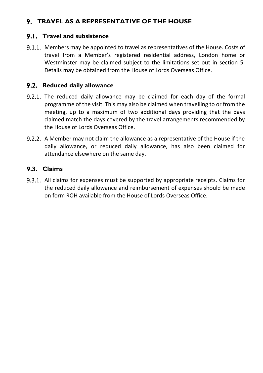# <span id="page-24-0"></span>*S* TRAVEL AS A REPRESENTATIVE OF THE HOUSE

#### <span id="page-24-1"></span>**Travel and subsistence**

9.1.1. Members may be appointed to travel as representatives of the House. Costs of travel from a Member's registered residential address, London home or Westminster may be claimed subject to the limitations set out in section 5. Details may be obtained from the House of Lords Overseas Office.

#### <span id="page-24-2"></span>**Reduced daily allowance**

- 9.2.1. The reduced daily allowance may be claimed for each day of the formal programme of the visit. This may also be claimed when travelling to or from the meeting, up to a maximum of two additional days providing that the days claimed match the days covered by the travel arrangements recommended by the House of Lords Overseas Office.
- A Member may not claim the allowance as a representative of the House if the daily allowance, or reduced daily allowance, has also been claimed for attendance elsewhere on the same day.

#### <span id="page-24-3"></span>**Claims**

9.3.1. All claims for expenses must be supported by appropriate receipts. Claims for the reduced daily allowance and reimbursement of expenses should be made on form ROH available from the House of Lords Overseas Office.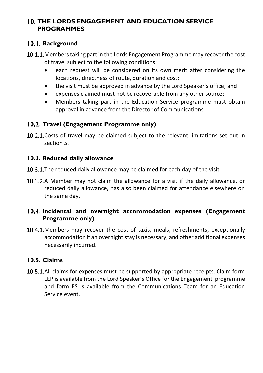#### <span id="page-25-0"></span>**THE LORDS ENGAGEMENT AND EDUCATION SERVICE PROGRAMMES**

#### <span id="page-25-1"></span>**Background**

- 10.1.1. Members taking part in the Lords Engagement Programme may recover the cost of travel subject to the following conditions:
	- each request will be considered on its own merit after considering the locations, directness of route, duration and cost;
	- the visit must be approved in advance by the Lord Speaker's office; and
	- expenses claimed must not be recoverable from any other source;
	- Members taking part in the Education Service programme must obtain approval in advance from the Director of Communications

## <span id="page-25-2"></span>**Travel (Engagement Programme only)**

10.2.1. Costs of travel may be claimed subject to the relevant limitations set out in section 5.

## <span id="page-25-3"></span>**10.3. Reduced daily allowance**

- 10.3.1. The reduced daily allowance may be claimed for each day of the visit.
- 10.3.2.A Member may not claim the allowance for a visit if the daily allowance, or reduced daily allowance, has also been claimed for attendance elsewhere on the same day.

#### <span id="page-25-4"></span>**Incidental and overnight accommodation expenses (Engagement Programme only)**

10.4.1. Members may recover the cost of taxis, meals, refreshments, exceptionally accommodation if an overnight stay is necessary, and other additional expenses necessarily incurred.

## <span id="page-25-5"></span>**Claims**

10.5.1. All claims for expenses must be supported by appropriate receipts. Claim form LEP is available from the Lord Speaker's Office for the Engagement programme and form ES is available from the Communications Team for an Education Service event.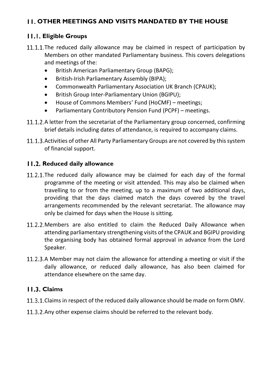# <span id="page-26-0"></span>**OTHER MEETINGS AND VISITS MANDATED BY THE HOUSE**

#### <span id="page-26-1"></span>**Eligible Groups**

- 11.1.1. The reduced daily allowance may be claimed in respect of participation by Members on other mandated Parliamentary business. This covers delegations and meetings of the:
	- British American Parliamentary Group (BAPG);
	- British-Irish Parliamentary Assembly (BIPA);
	- Commonwealth Parliamentary Association UK Branch (CPAUK);
	- British Group Inter-Parliamentary Union (BGIPU);
	- House of Commons Members' Fund (HoCMF) meetings;
	- Parliamentary Contributory Pension Fund (PCPF) meetings.
- 11.1.2. A letter from the secretariat of the Parliamentary group concerned, confirming brief details including dates of attendance, is required to accompany claims.
- 11.1.3. Activities of other All Party Parliamentary Groups are not covered by this system of financial support.

#### <span id="page-26-2"></span>**Reduced daily allowance**

- 11.2.1. The reduced daily allowance may be claimed for each day of the formal programme of the meeting or visit attended. This may also be claimed when travelling to or from the meeting, up to a maximum of two additional days, providing that the days claimed match the days covered by the travel arrangements recommended by the relevant secretariat. The allowance may only be claimed for days when the House is sitting.
- 11.2.2. Members are also entitled to claim the Reduced Daily Allowance when attending parliamentary strengthening visits of the CPAUK and BGIPU providing the organising body has obtained formal approval in advance from the Lord Speaker.
- 11.2.3.A Member may not claim the allowance for attending a meeting or visit if the daily allowance, or reduced daily allowance, has also been claimed for attendance elsewhere on the same day.

#### <span id="page-26-3"></span>**Claims**

- 11.3.1. Claims in respect of the reduced daily allowance should be made on form OMV.
- Any other expense claims should be referred to the relevant body.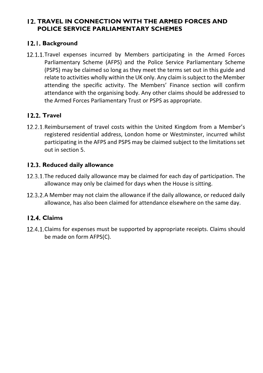#### <span id="page-27-0"></span>**TRAVEL IN CONNECTION WITH THE ARMED FORCES AND POLICE SERVICE PARLIAMENTARY SCHEMES**

#### <span id="page-27-1"></span>**Background**

12.1.1. Travel expenses incurred by Members participating in the Armed Forces Parliamentary Scheme (AFPS) and the Police Service Parliamentary Scheme (PSPS) may be claimed so long as they meet the terms set out in this guide and relate to activities wholly within the UK only. Any claim is subject to the Member attending the specific activity. The Members' Finance section will confirm attendance with the organising body. Any other claims should be addressed to the Armed Forces Parliamentary Trust or PSPS as appropriate.

## <span id="page-27-2"></span>**12.2. Travel**

12.2.1. Reimbursement of travel costs within the United Kingdom from a Member's registered residential address, London home or Westminster, incurred whilst participating in the AFPS and PSPS may be claimed subject to the limitations set out in section 5.

#### <span id="page-27-3"></span>**12.3. Reduced daily allowance**

- 12.3.1. The reduced daily allowance may be claimed for each day of participation. The allowance may only be claimed for days when the House is sitting.
- 12.3.2. A Member may not claim the allowance if the daily allowance, or reduced daily allowance, has also been claimed for attendance elsewhere on the same day.

## <span id="page-27-4"></span>**Claims**

12.4.1. Claims for expenses must be supported by appropriate receipts. Claims should be made on form AFPS(C).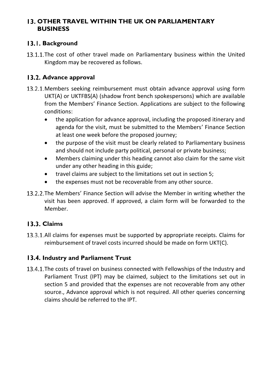#### <span id="page-28-0"></span>**OTHER TRAVEL WITHIN THE UK ON PARLIAMENTARY BUSINESS**

## <span id="page-28-1"></span>**Background**

13.1.1. The cost of other travel made on Parliamentary business within the United Kingdom may be recovered as follows.

## <span id="page-28-2"></span>**Advance approval**

- 13.2.1. Members seeking reimbursement must obtain advance approval using form UKT(A) or UKTFBS(A) (shadow front bench spokespersons) which are available from the Members' Finance Section. Applications are subject to the following conditions:
	- the application for advance approval, including the proposed itinerary and agenda for the visit, must be submitted to the Members' Finance Section at least one week before the proposed journey;
	- the purpose of the visit must be clearly related to Parliamentary business and should not include party political, personal or private business;
	- Members claiming under this heading cannot also claim for the same visit under any other heading in this guide;
	- travel claims are subject to the limitations set out in section 5;
	- the expenses must not be recoverable from any other source.
- 13.2.2. The Members' Finance Section will advise the Member in writing whether the visit has been approved. If approved, a claim form will be forwarded to the Member.

## <span id="page-28-3"></span>**Claims**

13.3.1. All claims for expenses must be supported by appropriate receipts. Claims for reimbursement of travel costs incurred should be made on form UKT(C).

#### <span id="page-28-4"></span>**13.4. Industry and Parliament Trust**

13.4.1. The costs of travel on business connected with Fellowships of the Industry and Parliament Trust (IPT) may be claimed, subject to the limitations set out in section 5 and provided that the expenses are not recoverable from any other source., Advance approval which is not required. All other queries concerning claims should be referred to the IPT.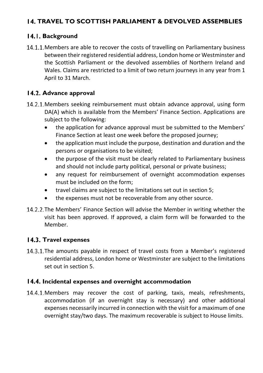## <span id="page-29-0"></span>**TRAVEL TO SCOTTISH PARLIAMENT & DEVOLVED ASSEMBLIES**

#### <span id="page-29-1"></span>**Background**

14.1.1. Members are able to recover the costs of travelling on Parliamentary business between their registered residential address, London home or Westminster and the Scottish Parliament or the devolved assemblies of Northern Ireland and Wales. Claims are restricted to a limit of two return journeys in any year from 1 April to 31 March.

#### <span id="page-29-2"></span>**14.2. Advance approval**

- 14.2.1. Members seeking reimbursement must obtain advance approval, using form DA(A) which is available from the Members' Finance Section. Applications are subject to the following:
	- the application for advance approval must be submitted to the Members' Finance Section at least one week before the proposed journey;
	- the application must include the purpose, destination and duration and the persons or organisations to be visited;
	- the purpose of the visit must be clearly related to Parliamentary business and should not include party political, personal or private business;
	- any request for reimbursement of overnight accommodation expenses must be included on the form;
	- travel claims are subject to the limitations set out in section 5;
	- the expenses must not be recoverable from any other source.
- 14.2.2. The Members' Finance Section will advise the Member in writing whether the visit has been approved. If approved, a claim form will be forwarded to the Member.

#### <span id="page-29-3"></span>**Travel expenses**

14.3.1. The amounts payable in respect of travel costs from a Member's registered residential address, London home or Westminster are subject to the limitations set out in section 5.

## <span id="page-29-4"></span>**Incidental expenses and overnight accommodation**

14.4.1. Members may recover the cost of parking, taxis, meals, refreshments, accommodation (if an overnight stay is necessary) and other additional expenses necessarily incurred in connection with the visit for a maximum of one overnight stay/two days. The maximum recoverable is subject to House limits.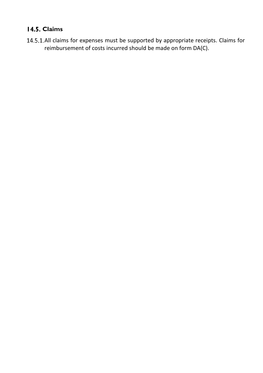# <span id="page-30-0"></span>**Claims**

14.5.1. All claims for expenses must be supported by appropriate receipts. Claims for reimbursement of costs incurred should be made on form DA(C).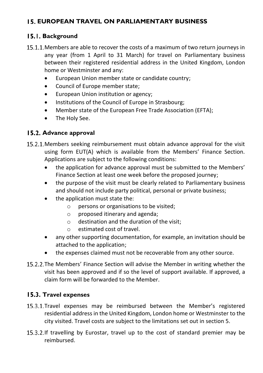# <span id="page-31-0"></span>**EUROPEAN TRAVEL ON PARLIAMENTARY BUSINESS**

#### <span id="page-31-1"></span>**Background**

- 15.1.1. Members are able to recover the costs of a maximum of two return journeys in any year (from 1 April to 31 March) for travel on Parliamentary business between their registered residential address in the United Kingdom, London home or Westminster and any:
	- European Union member state or candidate country;
	- Council of Europe member state;
	- European Union institution or agency;
	- Institutions of the Council of Europe in Strasbourg;
	- Member state of the European Free Trade Association (EFTA);
	- The Holy See.

## <span id="page-31-2"></span>**Advance approval**

- 15.2.1. Members seeking reimbursement must obtain advance approval for the visit using form EUT(A) which is available from the Members' Finance Section. Applications are subject to the following conditions:
	- the application for advance approval must be submitted to the Members' Finance Section at least one week before the proposed journey;
	- the purpose of the visit must be clearly related to Parliamentary business and should not include party political, personal or private business;
	- the application must state the:
		- o persons or organisations to be visited;
		- o proposed itinerary and agenda;
		- $\circ$  destination and the duration of the visit:
		- o estimated cost of travel.
	- any other supporting documentation, for example, an invitation should be attached to the application;
	- the expenses claimed must not be recoverable from any other source.
- 15.2.2. The Members' Finance Section will advise the Member in writing whether the visit has been approved and if so the level of support available. If approved, a claim form will be forwarded to the Member.

## <span id="page-31-3"></span>**15.3. Travel expenses**

- 15.3.1. Travel expenses may be reimbursed between the Member's registered residential address in the United Kingdom, London home or Westminster to the city visited. Travel costs are subject to the limitations set out in section 5.
- 15.3.2. If travelling by Eurostar, travel up to the cost of standard premier may be reimbursed.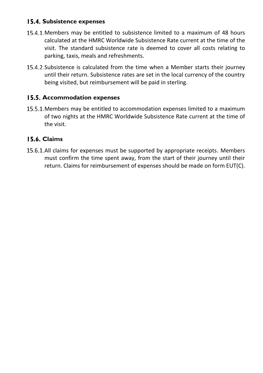## <span id="page-32-0"></span>**15.4. Subsistence expenses**

- 15.4.1. Members may be entitled to subsistence limited to a maximum of 48 hours calculated at the HMRC Worldwide Subsistence Rate current at the time of the visit. The standard subsistence rate is deemed to cover all costs relating to parking, taxis, meals and refreshments.
- 15.4.2. Subsistence is calculated from the time when a Member starts their journey until their return. Subsistence rates are set in the local currency of the country being visited, but reimbursement will be paid in sterling.

## <span id="page-32-1"></span>**15.5. Accommodation expenses**

15.5.1. Members may be entitled to accommodation expenses limited to a maximum of two nights at the HMRC Worldwide Subsistence Rate current at the time of the visit.

## <span id="page-32-2"></span>**Claims**

15.6.1. All claims for expenses must be supported by appropriate receipts. Members must confirm the time spent away, from the start of their journey until their return. Claims for reimbursement of expenses should be made on form EUT(C).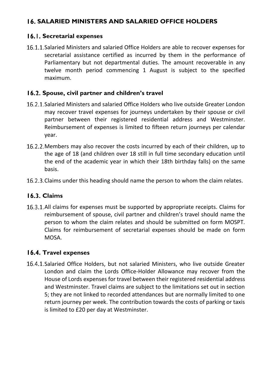## <span id="page-33-0"></span>**SALARIED MINISTERS AND SALARIED OFFICE HOLDERS**

#### <span id="page-33-1"></span>**Secretarial expenses**

16.1.1. Salaried Ministers and salaried Office Holders are able to recover expenses for secretarial assistance certified as incurred by them in the performance of Parliamentary but not departmental duties. The amount recoverable in any twelve month period commencing 1 August is subject to the specified maximum.

#### <span id="page-33-2"></span>**Spouse, civil partner and children's travel**

- 16.2.1. Salaried Ministers and salaried Office Holders who live outside Greater London may recover travel expenses for journeys undertaken by their spouse or civil partner between their registered residential address and Westminster. Reimbursement of expenses is limited to fifteen return journeys per calendar year.
- Members may also recover the costs incurred by each of their children, up to the age of 18 (and children over 18 still in full time secondary education until the end of the academic year in which their 18th birthday falls) on the same basis.
- 16.2.3. Claims under this heading should name the person to whom the claim relates.

#### <span id="page-33-3"></span>**Claims**

All claims for expenses must be supported by appropriate receipts. Claims for reimbursement of spouse, civil partner and children's travel should name the person to whom the claim relates and should be submitted on form MOSPT. Claims for reimbursement of secretarial expenses should be made on form **MOSA** 

#### <span id="page-33-4"></span>**Travel expenses**

16.4.1. Salaried Office Holders, but not salaried Ministers, who live outside Greater London and claim the Lords Office-Holder Allowance may recover from the House of Lords expenses for travel between their registered residential address and Westminster. Travel claims are subject to the limitations set out in section 5; they are not linked to recorded attendances but are normally limited to one return journey per week. The contribution towards the costs of parking or taxis is limited to £20 per day at Westminster.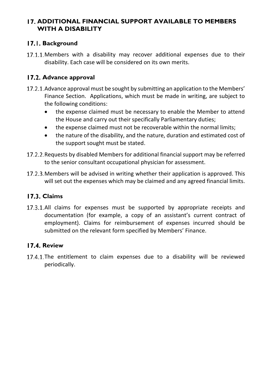#### <span id="page-34-0"></span>**ADDITIONAL FINANCIAL SUPPORT AVAILABLE TO MEMBERS WITH A DISABILITY**

## <span id="page-34-1"></span>**Background**

17.1.1. Members with a disability may recover additional expenses due to their disability. Each case will be considered on its own merits.

#### <span id="page-34-2"></span>**Advance approval**

- 17.2.1. Advance approval must be sought by submitting an application to the Members' Finance Section. Applications, which must be made in writing, are subject to the following conditions:
	- the expense claimed must be necessary to enable the Member to attend the House and carry out their specifically Parliamentary duties;
	- the expense claimed must not be recoverable within the normal limits;
	- the nature of the disability, and the nature, duration and estimated cost of the support sought must be stated.
- 17.2.2. Requests by disabled Members for additional financial support may be referred to the senior consultant occupational physician for assessment.
- 17.2.3. Members will be advised in writing whether their application is approved. This will set out the expenses which may be claimed and any agreed financial limits.

## <span id="page-34-3"></span>**Claims**

17.3.1.All claims for expenses must be supported by appropriate receipts and documentation (for example, a copy of an assistant's current contract of employment). Claims for reimbursement of expenses incurred should be submitted on the relevant form specified by Members' Finance.

#### <span id="page-34-4"></span>**17.4. Review**

17.4.1. The entitlement to claim expenses due to a disability will be reviewed periodically.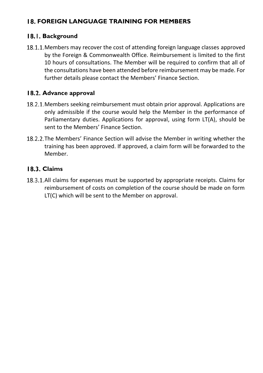# <span id="page-35-0"></span>**FOREIGN LANGUAGE TRAINING FOR MEMBERS**

#### <span id="page-35-1"></span>**Background**

18.1.1. Members may recover the cost of attending foreign language classes approved by the Foreign & Commonwealth Office. Reimbursement is limited to the first 10 hours of consultations. The Member will be required to confirm that all of the consultations have been attended before reimbursement may be made. For further details please contact the Members' Finance Section.

## <span id="page-35-2"></span>**18.2. Advance approval**

- 18.2.1. Members seeking reimbursement must obtain prior approval. Applications are only admissible if the course would help the Member in the performance of Parliamentary duties. Applications for approval, using form LT(A), should be sent to the Members' Finance Section.
- 18.2.2. The Members' Finance Section will advise the Member in writing whether the training has been approved. If approved, a claim form will be forwarded to the Member.

## <span id="page-35-3"></span>**Claims**

All claims for expenses must be supported by appropriate receipts. Claims for reimbursement of costs on completion of the course should be made on form LT(C) which will be sent to the Member on approval.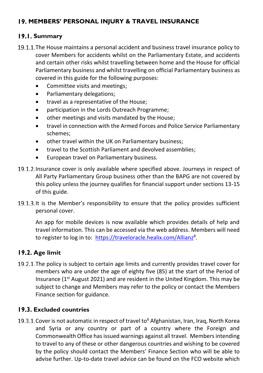# <span id="page-36-0"></span>**MEMBERS' PERSONAL INJURY & TRAVEL INSURANCE**

#### <span id="page-36-1"></span>**19.1. Summarv**

- 19.1.1. The House maintains a personal accident and business travel insurance policy to cover Members for accidents whilst on the Parliamentary Estate, and accidents and certain other risks whilst travelling between home and the House for official Parliamentary business and whilst travelling on official Parliamentary business as covered in this guide for the following purposes:
	- Committee visits and meetings;
	- Parliamentary delegations;
	- travel as a representative of the House;
	- participation in the Lords Outreach Programme;
	- other meetings and visits mandated by the House;
	- travel in connection with the Armed Forces and Police Service Parliamentary schemes;
	- other travel within the UK on Parliamentary business;
	- travel to the Scottish Parliament and devolved assemblies;
	- European travel on Parliamentary business.
- 19.1.2. Insurance cover is only available where specified above. Journeys in respect of All Party Parliamentary Group business other than the BAPG are not covered by this policy unless the journey qualifies for financial support under sections 13-15 of this guide.
- 19.1.3. It is the Member's responsibility to ensure that the policy provides sufficient personal cover.

An app for mobile devices is now available which provides details of help and travel information. This can be accessed via the web address. Members will need to register to log in to: <https://traveloracle.healix.com/Allianz><sup>8</sup>[.](#page-37-1)

#### <span id="page-36-2"></span>**19.2. Age limit**

19.2.1. The policy is subject to certain age limits and currently provides travel cover for members who are under the age of eighty five (85) at the start of the Period of Insurance ( $1<sup>st</sup>$  August 2021) and are resident in the United Kingdom. This may be subject to change and Members may refer to the policy or contact the Members Finance section for guidance.

#### <span id="page-36-3"></span>**Excluded countries**

19.3.1. Cover is not automatic in respect of travel to  $6$  Afghanistan, Iran, Iraq, North Korea and Syria or any country or part of a country where the Foreign and Commonwealth Office has issued warnings against all travel. Members intending to travel to any of these or other dangerous countries and wishing to be covered by the policy should contact the Members' Finance Section who will be able to advise further. Up-to-date travel advice can be found on the FCO website which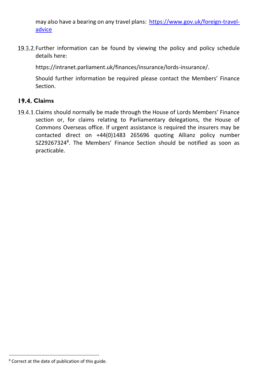may also have a bearing on any travel plans: [https://www.gov.uk/foreign-travel](https://www.gov.uk/foreign-travel-advice)[advice](https://www.gov.uk/foreign-travel-advice)

19.3.2. Further information can be found by viewing the policy and policy schedule details here:

[https://intranet.parliament.uk/finances/insurance/lords-insurance/.](https://intranet.parliament.uk/finances/insurance/lords-insurance/)

Should further information be required please contact the Members' Finance Section.

#### <span id="page-37-0"></span>**Claims**

<span id="page-37-1"></span>19.4.1. Claims should normally be made through the House of Lords Members' Finance section or, for claims relating to Parliamentary delegations, the House of Commons Overseas office. If urgent assistance is required the insurers may be contacted direct on +44(0)1483 265696 quoting Allianz policy number SZ29267324<sup>8</sup>. The Members' Finance Section should be notified as soon as practicable.

<sup>8</sup> Correct at the date of publication of this guide.